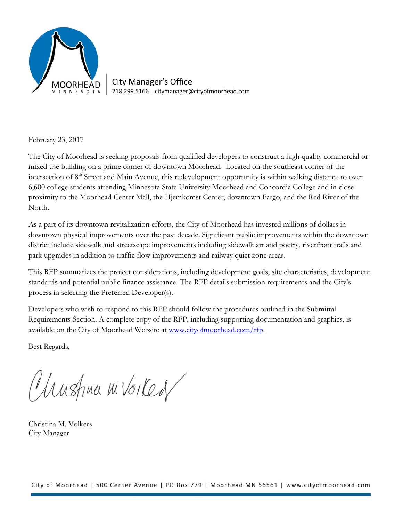

City Manager's Office 218.299.5166 I citymanager@cityofmoorhead.com

February 23, 2017

The City of Moorhead is seeking proposals from qualified developers to construct a high quality commercial or mixed use building on a prime corner of downtown Moorhead. Located on the southeast corner of the intersection of 8<sup>th</sup> Street and Main Avenue, this redevelopment opportunity is within walking distance to over 6,600 college students attending Minnesota State University Moorhead and Concordia College and in close proximity to the Moorhead Center Mall, the Hjemkomst Center, downtown Fargo, and the Red River of the North.

As a part of its downtown revitalization efforts, the City of Moorhead has invested millions of dollars in downtown physical improvements over the past decade. Significant public improvements within the downtown district include sidewalk and streetscape improvements including sidewalk art and poetry, riverfront trails and park upgrades in addition to traffic flow improvements and railway quiet zone areas.

This RFP summarizes the project considerations, including development goals, site characteristics, development standards and potential public finance assistance. The RFP details submission requirements and the City's process in selecting the Preferred Developer(s).

Developers who wish to respond to this RFP should follow the procedures outlined in the Submittal Requirements Section. A complete copy of the RFP, including supporting documentation and graphics, is available on the City of Moorhead Website at www.cityofmoorhead.com/rfp.

Best Regards,

Unstruct m Voikes

Christina M. Volkers City Manager

City of Moorhead | 500 Center Avenue | PO Box 779 | Moorhead MN 56561 | www.cityofmoorhead.com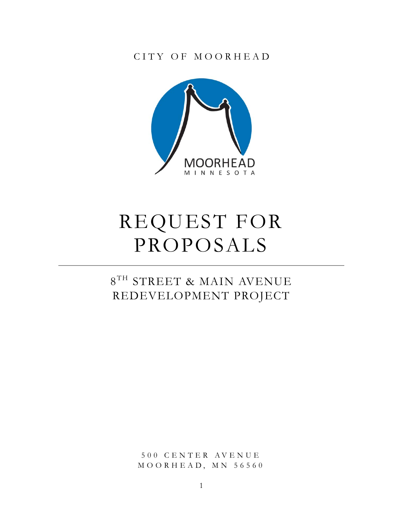CITY OF MOORHEAD



# REQUEST FOR PROPOSALS

## $8^{\mathrm{TH}}$  STREET & MAIN AVENUE REDEVELOPMENT PROJECT

500 CENTER AVENUE  $MOO$ RHEAD,  $MN$  56560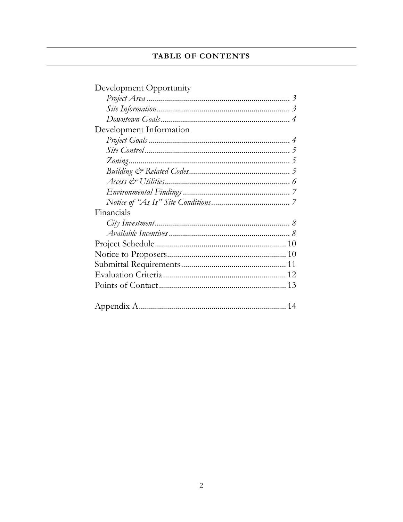## TABLE OF CONTENTS

| Development Opportunity |
|-------------------------|
|                         |
|                         |
|                         |
| Development Information |
|                         |
|                         |
|                         |
|                         |
|                         |
|                         |
|                         |
| Financials              |
|                         |
|                         |
|                         |
|                         |
|                         |
|                         |
|                         |
|                         |
|                         |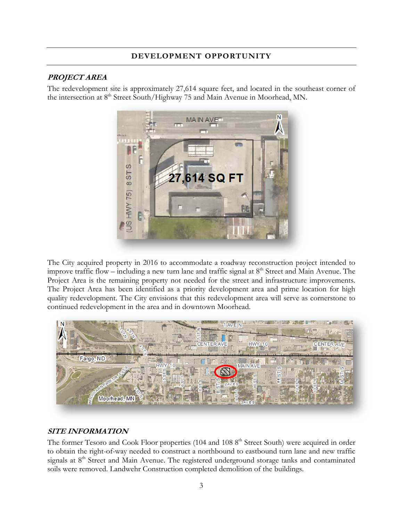## **DEVELOPMENT OPPORTUNITY**

#### **PROJECT AREA**

The redevelopment site is approximately 27,614 square feet, and located in the southeast corner of the intersection at 8<sup>th</sup> Street South/Highway 75 and Main Avenue in Moorhead, MN.



The City acquired property in 2016 to accommodate a roadway reconstruction project intended to improve traffic flow – including a new turn lane and traffic signal at  $8<sup>th</sup>$  Street and Main Avenue. The Project Area is the remaining property not needed for the street and infrastructure improvements. The Project Area has been identified as a priority development area and prime location for high quality redevelopment. The City envisions that this redevelopment area will serve as cornerstone to continued redevelopment in the area and in downtown Moorhead.



## **SITE INFORMATION**

The former Tesoro and Cook Floor properties (104 and 108 8<sup>th</sup> Street South) were acquired in order to obtain the right-of-way needed to construct a northbound to eastbound turn lane and new traffic signals at 8<sup>th</sup> Street and Main Avenue. The registered underground storage tanks and contaminated soils were removed. Landwehr Construction completed demolition of the buildings.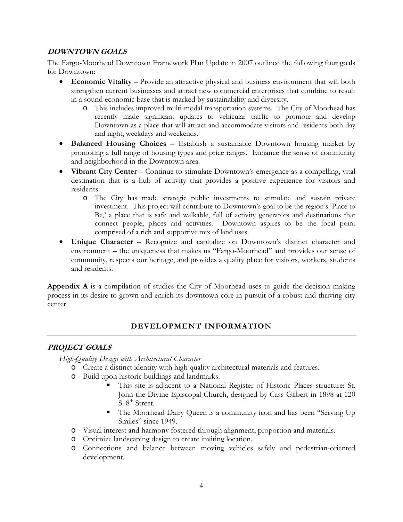#### **DOWNTOWN GOALS**

The Fargo-Moorhead Downtown Framework Plan Update in 2007 outlined the following four goals for Downtown:

- **Economic Vitality** Provide an attractive physical and business environment that will both strengthen current businesses and attract new commercial enterprises that combine to result in a sound economic base that is marked by sustainability and diversity.
	- o This includes improved multi-modal transportation systems. The City of Moorhead has recently made significant updates to vehicular traffic to promote and develop Downtown as a place that will attract and accommodate visitors and residents both day and night, weekdays and weekends.
- **Balanced Housing Choices** Establish a sustainable Downtown housing market by promoting a full range of housing types and price ranges. Enhance the sense of community and neighborhood in the Downtown area.
- **Vibrant City Center** Continue to stimulate Downtown's emergence as a compelling, vital destination that is a hub of activity that provides a positive experience for visitors and residents.
	- o The City has made strategic public investments to stimulate and sustain private investment. This project will contribute to Downtown's goal to be the region's 'Place to Be,' a place that is safe and walkable, full of activity generators and destinations that connect people, places and activities. Downtown aspires to be the focal point comprised of a rich and supportive mix of land uses.
- **Unique Character** Recognize and capitalize on Downtown's distinct character and environment – the uniqueness that makes us "Fargo-Moorhead" and provides our sense of community, respects our heritage, and provides a quality place for visitors, workers, students and residents.

**Appendix A** is a compilation of studies the City of Moorhead uses to guide the decision making process in its desire to grown and enrich its downtown core in pursuit of a robust and thriving city center.

## **DEVELOPMENT INFORMATION**

#### **PROJECT GOALS**

*High-Quality Design with Architectural Character* 

- o Create a distinct identity with high quality architectural materials and features.
	- o Build upon historic buildings and landmarks.
		- This site is adjacent to a National Register of Historic Places structure: St. John the Divine Episcopal Church, designed by Cass Gilbert in 1898 at 120  $S. 8<sup>th</sup> Street.$
		- The Moorhead Dairy Queen is a community icon and has been "Serving Up Smiles" since 1949.
	- o Visual interest and harmony fostered through alignment, proportion and materials.
	- o Optimize landscaping design to create inviting location.
	- o Connections and balance between moving vehicles safely and pedestrian-oriented development.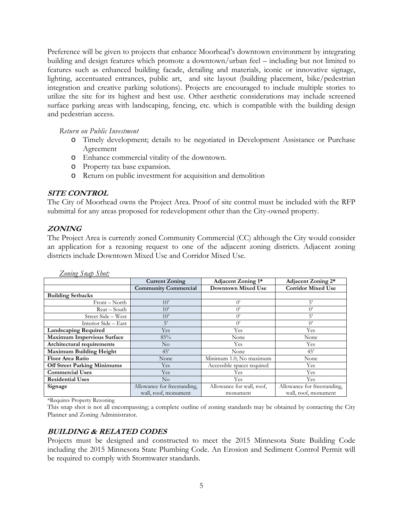Preference will be given to projects that enhance Moorhead's downtown environment by integrating building and design features which promote a downtown/urban feel – including but not limited to features such as enhanced building facade, detailing and materials, iconic or innovative signage, lighting, accentuated entrances, public art, and site layout (building placement, bike/pedestrian integration and creative parking solutions). Projects are encouraged to include multiple stories to utilize the site for its highest and best use. Other aesthetic considerations may include screened surface parking areas with landscaping, fencing, etc. which is compatible with the building design and pedestrian access.

*Return on Public Investment* 

- o Timely development; details to be negotiated in Development Assistance or Purchase Agreement
- o Enhance commercial vitality of the downtown.
- o Property tax base expansion.
- o Return on public investment for acquisition and demolition

#### **SITE CONTROL**

The City of Moorhead owns the Project Area. Proof of site control must be included with the RFP submittal for any areas proposed for redevelopment other than the City-owned property.

#### **ZONING**

The Project Area is currently zoned Community Commercial (CC) although the City would consider an application for a rezoning request to one of the adjacent zoning districts. Adjacent zoning districts include Downtown Mixed Use and Corridor Mixed Use.

|                                    | <b>Current Zoning</b>       | <b>Adjacent Zoning 1*</b>  | Adjacent Zoning 2*          |
|------------------------------------|-----------------------------|----------------------------|-----------------------------|
|                                    | <b>Community Commercial</b> | <b>Downtown Mixed Use</b>  | <b>Corridor Mixed Use</b>   |
| <b>Building Setbacks</b>           |                             |                            |                             |
| Front – North                      | 10'                         | $0^{\prime}$               | 5'                          |
| Rear – South                       | 10'                         | ()                         | $\theta$                    |
| Street Side - West                 | 10'                         | ()                         | 5'                          |
| Interior Side - East               | 5'                          | $()^{\prime}$              | ()                          |
| <b>Landscaping Required</b>        | Yes                         | Yes                        | Yes                         |
| <b>Maximum Impervious Surface</b>  | 85%                         | None                       | None                        |
| Architectural requirements         | $\rm No$                    | Yes                        | Yes                         |
| Maximum Building Height            | 45'                         | None                       | 45'                         |
| <b>Floor Area Ratio</b>            | None                        | Minimum 1.0; No maximum    | None                        |
| <b>Off Street Parking Minimums</b> | Yes                         | Accessible spaces required | Yes                         |
| <b>Commercial Uses</b>             | Yes                         | Yes                        | Yes                         |
| <b>Residential Uses</b>            | $\rm No$                    | Yes                        | Yes                         |
| Signage                            | Allowance for freestanding, | Allowance for wall, roof,  | Allowance for freestanding, |
|                                    | wall, roof, monument        | monument                   | wall, roof, monument        |

*Zoning Snap Shot:* 

\*Requires Property Rezoning

This snap shot is not all encompassing; a complete outline of zoning standards may be obtained by contacting the City Planner and Zoning Administrator.

#### **BUILDING & RELATED CODES**

Projects must be designed and constructed to meet the 2015 Minnesota State Building Code including the 2015 Minnesota State Plumbing Code. An Erosion and Sediment Control Permit will be required to comply with Stormwater standards.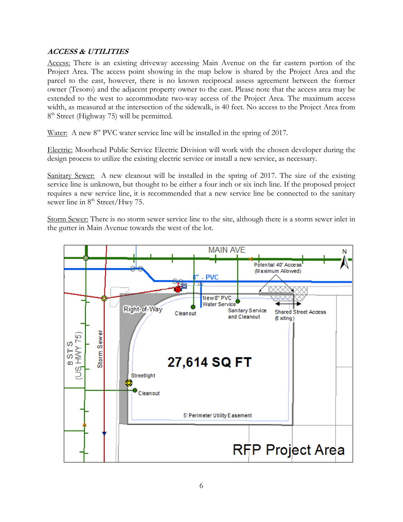#### **ACCESS & UTILITIES**

Access: There is an existing driveway accessing Main Avenue on the far eastern portion of the Project Area. The access point showing in the map below is shared by the Project Area and the parcel to the east, however, there is no known reciprocal assess agreement between the former owner (Tesoro) and the adjacent property owner to the east. Please note that the access area may be extended to the west to accommodate two-way access of the Project Area. The maximum access width, as measured at the intersection of the sidewalk, is 40 feet. No access to the Project Area from 8<sup>th</sup> Street (Highway 75) will be permitted.

Water: A new 8" PVC water service line will be installed in the spring of 2017.

Electric: Moorhead Public Service Electric Division will work with the chosen developer during the design process to utilize the existing electric service or install a new service, as necessary.

Sanitary Sewer: A new cleanout will be installed in the spring of 2017. The size of the existing service line is unknown, but thought to be either a four inch or six inch line. If the proposed project requires a new service line, it is recommended that a new service line be connected to the sanitary sewer line in 8<sup>th</sup> Street/Hwy 75.

Storm Sewer: There is no storm sewer service line to the site, although there is a storm sewer inlet in the gutter in Main Avenue towards the west of the lot.

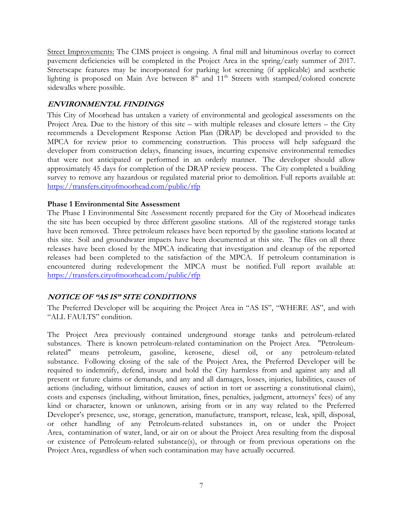Street Improvements: The CIMS project is ongoing. A final mill and bituminous overlay to correct pavement deficiencies will be completed in the Project Area in the spring/early summer of 2017. Streetscape features may be incorporated for parking lot screening (if applicable) and aesthetic lighting is proposed on Main Ave between  $8<sup>th</sup>$  and  $11<sup>th</sup>$  Streets with stamped/colored concrete sidewalks where possible.

#### **ENVIRONMENTAL FINDINGS**

This City of Moorhead has untaken a variety of environmental and geological assessments on the Project Area. Due to the history of this site – with multiple releases and closure letters – the City recommends a Development Response Action Plan (DRAP) be developed and provided to the MPCA for review prior to commencing construction. This process will help safeguard the developer from construction delays, financing issues, incurring expensive environmental remedies that were not anticipated or performed in an orderly manner. The developer should allow approximately 45 days for completion of the DRAP review process. The City completed a building survey to remove any hazardous or regulated material prior to demolition. Full reports available at: https://transfers.cityofmoorhead.com/public/rfp

#### **Phase 1 Environmental Site Assessment**

The Phase I Environmental Site Assessment recently prepared for the City of Moorhead indicates the site has been occupied by three different gasoline stations. All of the registered storage tanks have been removed. Three petroleum releases have been reported by the gasoline stations located at this site. Soil and groundwater impacts have been documented at this site. The files on all three releases have been closed by the MPCA indicating that investigation and cleanup of the reported releases had been completed to the satisfaction of the MPCA. If petroleum contamination is encountered during redevelopment the MPCA must be notified. Full report available at: https://transfers.cityofmoorhead.com/public/rfp

#### **NOTICE OF "AS IS" SITE CONDITIONS**

The Preferred Developer will be acquiring the Project Area in "AS IS", "WHERE AS", and with "ALL FAULTS" condition.

The Project Area previously contained underground storage tanks and petroleum-related substances. There is known petroleum-related contamination on the Project Area. "Petroleumrelated" means petroleum, gasoline, kerosene, diesel oil, or any petroleum-related substance. Following closing of the sale of the Project Area, the Preferred Developer will be required to indemnify, defend, insure and hold the City harmless from and against any and all present or future claims or demands, and any and all damages, losses, injuries, liabilities, causes of actions (including, without limitation, causes of action in tort or asserting a constitutional claim), costs and expenses (including, without limitation, fines, penalties, judgment, attorneys' fees) of any kind or character, known or unknown, arising from or in any way related to the Preferred Developer's presence, use, storage, generation, manufacture, transport, release, leak, spill, disposal, or other handling of any Petroleum-related substances in, on or under the Project Area, contamination of water, land, or air on or about the Project Area resulting from the disposal or existence of Petroleum-related substance(s), or through or from previous operations on the Project Area, regardless of when such contamination may have actually occurred.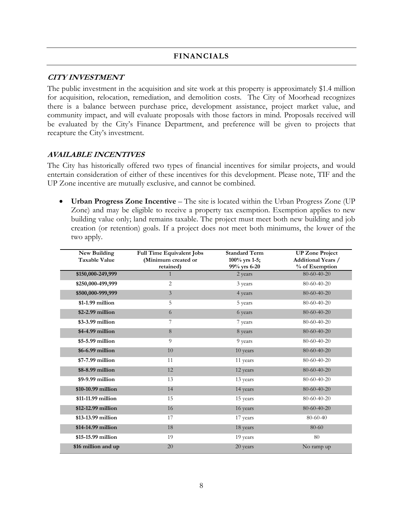#### **CITY INVESTMENT**

The public investment in the acquisition and site work at this property is approximately \$1.4 million for acquisition, relocation, remediation, and demolition costs. The City of Moorhead recognizes there is a balance between purchase price, development assistance, project market value, and community impact, and will evaluate proposals with those factors in mind. Proposals received will be evaluated by the City's Finance Department, and preference will be given to projects that recapture the City's investment.

#### **AVAILABLE INCENTIVES**

The City has historically offered two types of financial incentives for similar projects, and would entertain consideration of either of these incentives for this development. Please note, TIF and the UP Zone incentive are mutually exclusive, and cannot be combined.

 **Urban Progress Zone Incentive** – The site is located within the Urban Progress Zone (UP Zone) and may be eligible to receive a property tax exemption. Exemption applies to new building value only; land remains taxable. The project must meet both new building and job creation (or retention) goals. If a project does not meet both minimums, the lower of the two apply.

| New Building<br><b>Taxable Value</b> | <b>Full Time Equivalent Jobs</b><br>(Minimum created or<br>retained) | <b>Standard Term</b><br>$100\%$ yrs 1-5;<br>99% yrs 6-20 | <b>UP Zone Project</b><br><b>Additional Years /</b><br>% of Exemption |
|--------------------------------------|----------------------------------------------------------------------|----------------------------------------------------------|-----------------------------------------------------------------------|
| \$150,000-249,999                    | 1                                                                    | 2 years                                                  | 80-60-40-20                                                           |
| \$250,000-499,999                    | $\overline{c}$                                                       | 3 years                                                  | $80 - 60 - 40 - 20$                                                   |
| \$500,000-999,999                    | $\mathfrak{Z}$                                                       | 4 years                                                  | 80-60-40-20                                                           |
| $$1-1.99$ million                    | 5                                                                    | 5 years                                                  | $80 - 60 - 40 - 20$                                                   |
| \$2-2.99 million                     | 6                                                                    | 6 years                                                  | 80-60-40-20                                                           |
| \$3-3.99 million                     | 7                                                                    | 7 years                                                  | 80-60-40-20                                                           |
| \$4-4.99 million                     | 8                                                                    | 8 years                                                  | 80-60-40-20                                                           |
| \$5-5.99 million                     | 9                                                                    | 9 years                                                  | $80 - 60 - 40 - 20$                                                   |
| \$6-6.99 million                     | 10                                                                   | 10 years                                                 | 80-60-40-20                                                           |
| \$7-7.99 million                     | 11                                                                   | 11 years                                                 | $80 - 60 - 40 - 20$                                                   |
| \$8-8.99 million                     | 12                                                                   | 12 years                                                 | $80 - 60 - 40 - 20$                                                   |
| \$9-9.99 million                     | 13                                                                   | 13 years                                                 | $80-60-40-20$                                                         |
| \$10-10.99 million                   | 14                                                                   | 14 years                                                 | 80-60-40-20                                                           |
| \$11-11.99 million                   | 15                                                                   | 15 years                                                 | $80 - 60 - 40 - 20$                                                   |
| \$12-12.99 million                   | 16                                                                   | 16 years                                                 | 80-60-40-20                                                           |
| \$13-13.99 million                   | 17                                                                   | 17 years                                                 | $80 - 60 - 40$                                                        |
| \$14-14.99 million                   | 18                                                                   | 18 years                                                 | 80-60                                                                 |
| \$15-15.99 million                   | 19                                                                   | 19 years                                                 | 80                                                                    |
| \$16 million and up                  | 20                                                                   | 20 years                                                 | No ramp up                                                            |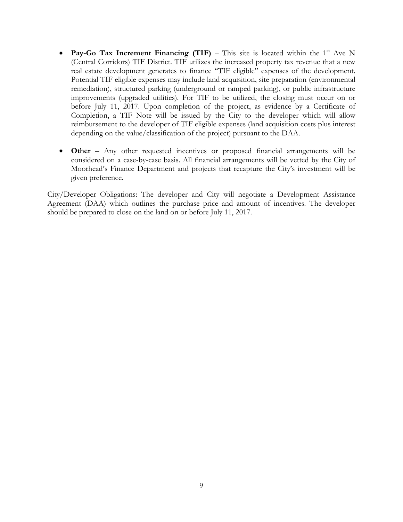- **Pay-Go Tax Increment Financing (TIF)** This site is located within the  $1<sup>st</sup>$  Ave N (Central Corridors) TIF District. TIF utilizes the increased property tax revenue that a new real estate development generates to finance "TIF eligible" expenses of the development. Potential TIF eligible expenses may include land acquisition, site preparation (environmental remediation), structured parking (underground or ramped parking), or public infrastructure improvements (upgraded utilities). For TIF to be utilized, the closing must occur on or before July 11, 2017. Upon completion of the project, as evidence by a Certificate of Completion, a TIF Note will be issued by the City to the developer which will allow reimbursement to the developer of TIF eligible expenses (land acquisition costs plus interest depending on the value/classification of the project) pursuant to the DAA.
- **Other** Any other requested incentives or proposed financial arrangements will be considered on a case-by-case basis. All financial arrangements will be vetted by the City of Moorhead's Finance Department and projects that recapture the City's investment will be given preference.

City/Developer Obligations: The developer and City will negotiate a Development Assistance Agreement (DAA) which outlines the purchase price and amount of incentives. The developer should be prepared to close on the land on or before July 11, 2017.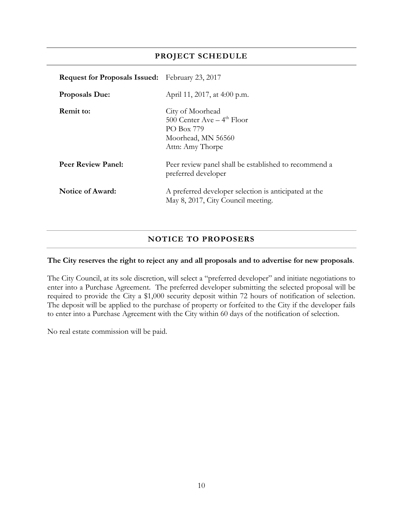### **PROJECT SCHEDULE**

| <b>Request for Proposals Issued:</b> February 23, 2017 |                                                                                                                     |
|--------------------------------------------------------|---------------------------------------------------------------------------------------------------------------------|
| <b>Proposals Due:</b>                                  | April 11, 2017, at 4:00 p.m.                                                                                        |
| <b>Remit to:</b>                                       | City of Moorhead<br>500 Center Ave $-4$ <sup>th</sup> Floor<br>PO Box 779<br>Moorhead, MN 56560<br>Attn: Amy Thorpe |
| <b>Peer Review Panel:</b>                              | Peer review panel shall be established to recommend a<br>preferred developer                                        |
| <b>Notice of Award:</b>                                | A preferred developer selection is anticipated at the<br>May 8, 2017, City Council meeting.                         |

## **NOTICE TO PROPOSERS**

#### **The City reserves the right to reject any and all proposals and to advertise for new proposals**.

The City Council, at its sole discretion, will select a "preferred developer" and initiate negotiations to enter into a Purchase Agreement. The preferred developer submitting the selected proposal will be required to provide the City a \$1,000 security deposit within 72 hours of notification of selection. The deposit will be applied to the purchase of property or forfeited to the City if the developer fails to enter into a Purchase Agreement with the City within 60 days of the notification of selection.

No real estate commission will be paid.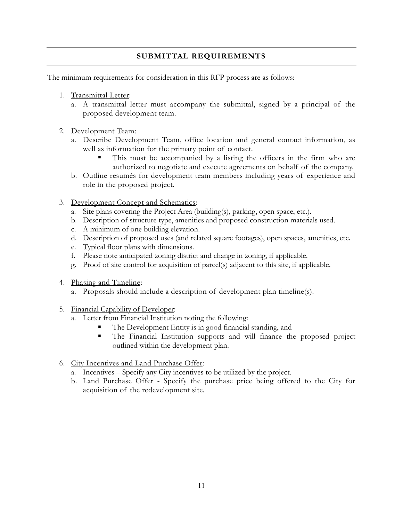## **SUBMITTAL REQUIREMENTS**

The minimum requirements for consideration in this RFP process are as follows:

- 1. Transmittal Letter:
	- a. A transmittal letter must accompany the submittal, signed by a principal of the proposed development team.
- 2. Development Team:
	- a. Describe Development Team, office location and general contact information, as well as information for the primary point of contact.
		- This must be accompanied by a listing the officers in the firm who are authorized to negotiate and execute agreements on behalf of the company.
	- b. Outline resumés for development team members including years of experience and role in the proposed project.
- 3. Development Concept and Schematics:
	- a. Site plans covering the Project Area (building(s), parking, open space, etc.).
	- b. Description of structure type, amenities and proposed construction materials used.
	- c. A minimum of one building elevation.
	- d. Description of proposed uses (and related square footages), open spaces, amenities, etc.
	- e. Typical floor plans with dimensions.
	- f. Please note anticipated zoning district and change in zoning, if applicable.
	- g. Proof of site control for acquisition of parcel(s) adjacent to this site, if applicable.
- 4. Phasing and Timeline:
	- a. Proposals should include a description of development plan timeline(s).
- 5. Financial Capability of Developer:
	- a. Letter from Financial Institution noting the following:
		- The Development Entity is in good financial standing, and
		- The Financial Institution supports and will finance the proposed project outlined within the development plan.
- 6. City Incentives and Land Purchase Offer:
	- a. Incentives Specify any City incentives to be utilized by the project.
	- b. Land Purchase Offer Specify the purchase price being offered to the City for acquisition of the redevelopment site.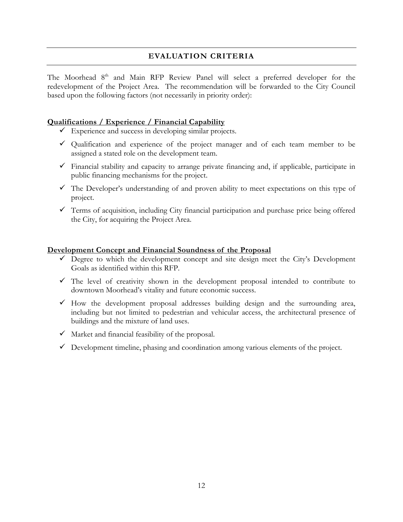#### **EVALUATION CRITERIA**

The Moorhead 8<sup>th</sup> and Main RFP Review Panel will select a preferred developer for the redevelopment of the Project Area. The recommendation will be forwarded to the City Council based upon the following factors (not necessarily in priority order):

#### **Qualifications / Experience / Financial Capability**

- $\checkmark$  Experience and success in developing similar projects.
- Qualification and experience of the project manager and of each team member to be assigned a stated role on the development team.
- $\checkmark$  Financial stability and capacity to arrange private financing and, if applicable, participate in public financing mechanisms for the project.
- $\checkmark$  The Developer's understanding of and proven ability to meet expectations on this type of project.
- $\checkmark$  Terms of acquisition, including City financial participation and purchase price being offered the City, for acquiring the Project Area.

#### **Development Concept and Financial Soundness of the Proposal**

- $\checkmark$  Degree to which the development concept and site design meet the City's Development Goals as identified within this RFP.
- $\checkmark$  The level of creativity shown in the development proposal intended to contribute to downtown Moorhead's vitality and future economic success.
- $\checkmark$  How the development proposal addresses building design and the surrounding area, including but not limited to pedestrian and vehicular access, the architectural presence of buildings and the mixture of land uses.
- $\checkmark$  Market and financial feasibility of the proposal.
- $\checkmark$  Development timeline, phasing and coordination among various elements of the project.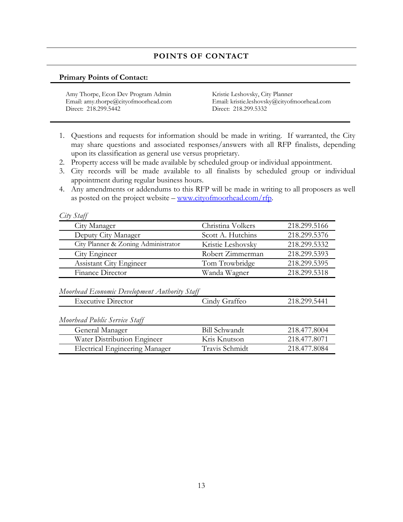## **POINTS OF CONTACT**

#### **Primary Points of Contact:**

- 1. Questions and requests for information should be made in writing. If warranted, the City may share questions and associated responses/answers with all RFP finalists, depending upon its classification as general use versus proprietary.
- 2. Property access will be made available by scheduled group or individual appointment.
- 3. City records will be made available to all finalists by scheduled group or individual appointment during regular business hours.
- 4. Any amendments or addendums to this RFP will be made in writing to all proposers as well as posted on the project website –  $\frac{www.cityofmoorhead.com/rfp}{$ .

| .111 | Ť<br>LA1 |
|------|----------|
|      |          |

| City Manager                        | Christina Volkers | 218.299.5166 |
|-------------------------------------|-------------------|--------------|
| Deputy City Manager                 | Scott A. Hutchins | 218.299.5376 |
| City Planner & Zoning Administrator | Kristie Leshovsky | 218.299.5332 |
| City Engineer                       | Robert Zimmerman  | 218.299.5393 |
| <b>Assistant City Engineer</b>      | Tom Trowbridge    | 218.299.5395 |
| Finance Director                    | Wanda Wagner      | 218.299.5318 |

*Moorhead Economic Development Authority Staff* 

| $\overline{\phantom{a}}$<br>Director<br>Executive | Graffeo<br>undv. | 299.5441<br><u>ገ1 ዪ</u><br>$\cup \cdot \triangle$ |
|---------------------------------------------------|------------------|---------------------------------------------------|
|                                                   |                  |                                                   |

*Moorhead Public Service Staff* 

| General Manager                | Bill Schwandt  | 218.477.8004 |
|--------------------------------|----------------|--------------|
| Water Distribution Engineer    | Kris Knutson   | 218.477.8071 |
| Electrical Engineering Manager | Travis Schmidt | 218.477.8084 |